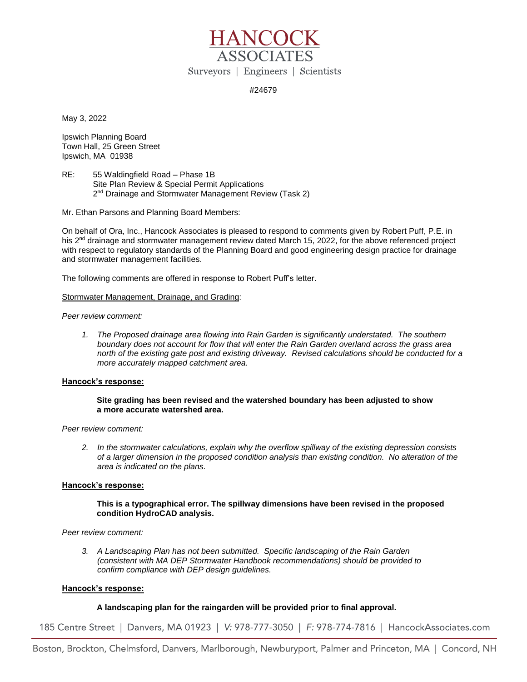

## #24679

May 3, 2022

Ipswich Planning Board Town Hall, 25 Green Street Ipswich, MA 01938

RE: 55 Waldingfield Road – Phase 1B Site Plan Review & Special Permit Applications 2<sup>nd</sup> Drainage and Stormwater Management Review (Task 2)

Mr. Ethan Parsons and Planning Board Members:

On behalf of Ora, Inc., Hancock Associates is pleased to respond to comments given by Robert Puff, P.E. in his 2<sup>nd</sup> drainage and stormwater management review dated March 15, 2022, for the above referenced project with respect to regulatory standards of the Planning Board and good engineering design practice for drainage and stormwater management facilities.

The following comments are offered in response to Robert Puff's letter.

Stormwater Management, Drainage, and Grading:

*Peer review comment:*

*1. The Proposed drainage area flowing into Rain Garden is significantly understated. The southern boundary does not account for flow that will enter the Rain Garden overland across the grass area north of the existing gate post and existing driveway. Revised calculations should be conducted for a more accurately mapped catchment area.* 

### **Hancock's response:**

## **Site grading has been revised and the watershed boundary has been adjusted to show a more accurate watershed area.**

*Peer review comment:*

*2. In the stormwater calculations, explain why the overflow spillway of the existing depression consists of a larger dimension in the proposed condition analysis than existing condition. No alteration of the area is indicated on the plans.*

### **Hancock's response:**

### **This is a typographical error. The spillway dimensions have been revised in the proposed condition HydroCAD analysis.**

*Peer review comment:*

*3. A Landscaping Plan has not been submitted. Specific landscaping of the Rain Garden (consistent with MA DEP Stormwater Handbook recommendations) should be provided to confirm compliance with DEP design guidelines.*

### **Hancock's response:**

# **A landscaping plan for the raingarden will be provided prior to final approval.**

185 Centre Street | Danvers, MA 01923 | V: 978-777-3050 | F: 978-774-7816 | HancockAssociates.com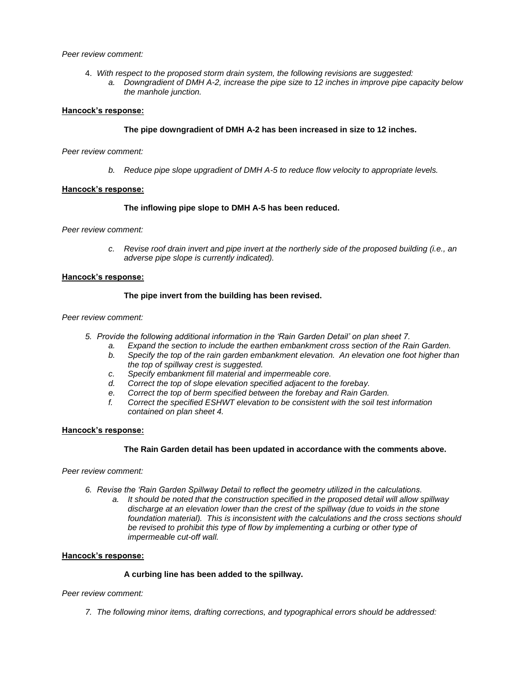### *Peer review comment:*

4. *With respect to the proposed storm drain system, the following revisions are suggested: a. Downgradient of DMH A-2, increase the pipe size to 12 inches in improve pipe capacity below the manhole junction.*

#### **Hancock's response:**

### **The pipe downgradient of DMH A-2 has been increased in size to 12 inches.**

#### *Peer review comment:*

*b. Reduce pipe slope upgradient of DMH A-5 to reduce flow velocity to appropriate levels.* 

### **Hancock's response:**

### **The inflowing pipe slope to DMH A-5 has been reduced.**

*Peer review comment:*

*c. Revise roof drain invert and pipe invert at the northerly side of the proposed building (i.e., an adverse pipe slope is currently indicated).*

#### **Hancock's response:**

### **The pipe invert from the building has been revised.**

### *Peer review comment:*

- *5. Provide the following additional information in the 'Rain Garden Detail' on plan sheet 7.* 
	- *a. Expand the section to include the earthen embankment cross section of the Rain Garden.*
	- *b. Specify the top of the rain garden embankment elevation. An elevation one foot higher than the top of spillway crest is suggested.*
	- *c. Specify embankment fill material and impermeable core.*
	- *d. Correct the top of slope elevation specified adjacent to the forebay.*
	- *e. Correct the top of berm specified between the forebay and Rain Garden.*
	- *f. Correct the specified ESHWT elevation to be consistent with the soil test information contained on plan sheet 4.*

## **Hancock's response:**

## **The Rain Garden detail has been updated in accordance with the comments above.**

*Peer review comment:*

- *6. Revise the 'Rain Garden Spillway Detail to reflect the geometry utilized in the calculations.* 
	- *a. It should be noted that the construction specified in the proposed detail will allow spillway discharge at an elevation lower than the crest of the spillway (due to voids in the stone foundation material). This is inconsistent with the calculations and the cross sections should*  be revised to prohibit this type of flow by implementing a curbing or other type of *impermeable cut-off wall.*

### **Hancock's response:**

### **A curbing line has been added to the spillway.**

*Peer review comment:*

*7. The following minor items, drafting corrections, and typographical errors should be addressed:*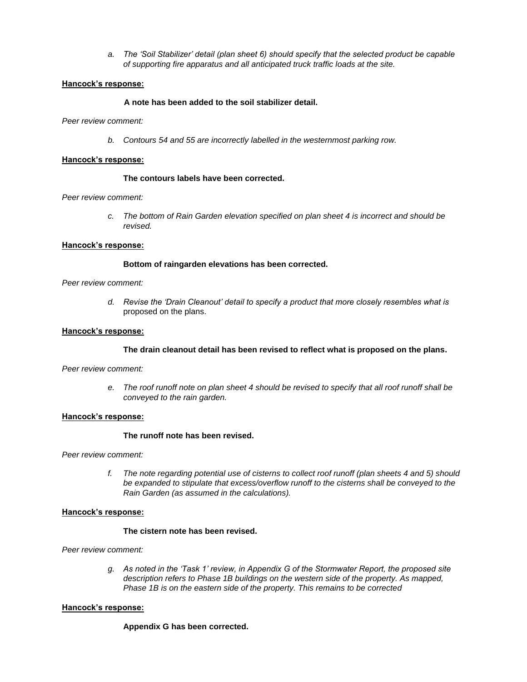*a. The 'Soil Stabilizer' detail (plan sheet 6) should specify that the selected product be capable of supporting fire apparatus and all anticipated truck traffic loads at the site.* 

### **Hancock's response:**

## **A note has been added to the soil stabilizer detail.**

*Peer review comment:*

*b. Contours 54 and 55 are incorrectly labelled in the westernmost parking row.* 

### **Hancock's response:**

### **The contours labels have been corrected.**

### *Peer review comment:*

*c. The bottom of Rain Garden elevation specified on plan sheet 4 is incorrect and should be revised.* 

### **Hancock's response:**

### **Bottom of raingarden elevations has been corrected.**

*Peer review comment:*

*d. Revise the 'Drain Cleanout' detail to specify a product that more closely resembles what is*  proposed on the plans.

### **Hancock's response:**

### **The drain cleanout detail has been revised to reflect what is proposed on the plans.**

*Peer review comment:*

*e. The roof runoff note on plan sheet 4 should be revised to specify that all roof runoff shall be conveyed to the rain garden.* 

### **Hancock's response:**

### **The runoff note has been revised.**

*Peer review comment:*

*f. The note regarding potential use of cisterns to collect roof runoff (plan sheets 4 and 5) should be expanded to stipulate that excess/overflow runoff to the cisterns shall be conveyed to the Rain Garden (as assumed in the calculations).* 

## **Hancock's response:**

## **The cistern note has been revised.**

*Peer review comment:*

*g. As noted in the 'Task 1' review, in Appendix G of the Stormwater Report, the proposed site description refers to Phase 1B buildings on the western side of the property. As mapped, Phase 1B is on the eastern side of the property. This remains to be corrected* 

### **Hancock's response:**

### **Appendix G has been corrected.**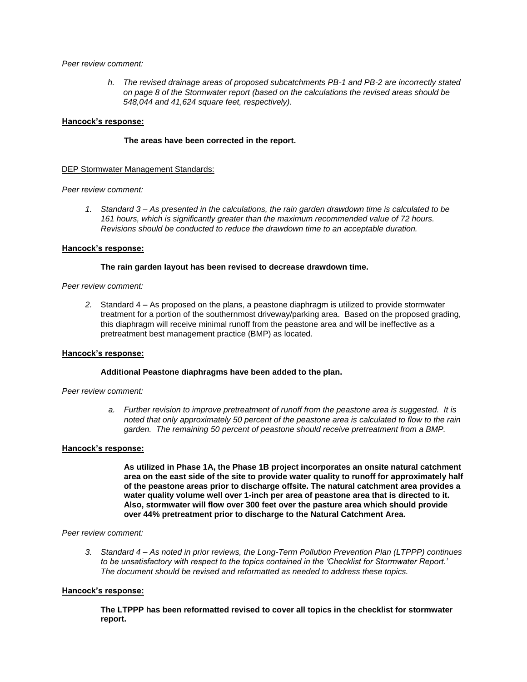#### *Peer review comment:*

*h. The revised drainage areas of proposed subcatchments PB-1 and PB-2 are incorrectly stated on page 8 of the Stormwater report (based on the calculations the revised areas should be 548,044 and 41,624 square feet, respectively).* 

#### **Hancock's response:**

#### **The areas have been corrected in the report.**

### DEP Stormwater Management Standards:

### *Peer review comment:*

*1. Standard 3 – As presented in the calculations, the rain garden drawdown time is calculated to be 161 hours, which is significantly greater than the maximum recommended value of 72 hours. Revisions should be conducted to reduce the drawdown time to an acceptable duration.* 

#### **Hancock's response:**

#### **The rain garden layout has been revised to decrease drawdown time.**

#### *Peer review comment:*

*2.* Standard 4 – As proposed on the plans, a peastone diaphragm is utilized to provide stormwater treatment for a portion of the southernmost driveway/parking area. Based on the proposed grading, this diaphragm will receive minimal runoff from the peastone area and will be ineffective as a pretreatment best management practice (BMP) as located.

#### **Hancock's response:**

#### **Additional Peastone diaphragms have been added to the plan.**

#### *Peer review comment:*

*a. Further revision to improve pretreatment of runoff from the peastone area is suggested. It is noted that only approximately 50 percent of the peastone area is calculated to flow to the rain garden. The remaining 50 percent of peastone should receive pretreatment from a BMP.* 

#### **Hancock's response:**

**As utilized in Phase 1A, the Phase 1B project incorporates an onsite natural catchment area on the east side of the site to provide water quality to runoff for approximately half of the peastone areas prior to discharge offsite. The natural catchment area provides a water quality volume well over 1-inch per area of peastone area that is directed to it. Also, stormwater will flow over 300 feet over the pasture area which should provide over 44% pretreatment prior to discharge to the Natural Catchment Area.** 

#### *Peer review comment:*

*3. Standard 4 – As noted in prior reviews, the Long-Term Pollution Prevention Plan (LTPPP) continues to be unsatisfactory with respect to the topics contained in the 'Checklist for Stormwater Report.' The document should be revised and reformatted as needed to address these topics.* 

#### **Hancock's response:**

**The LTPPP has been reformatted revised to cover all topics in the checklist for stormwater report.**